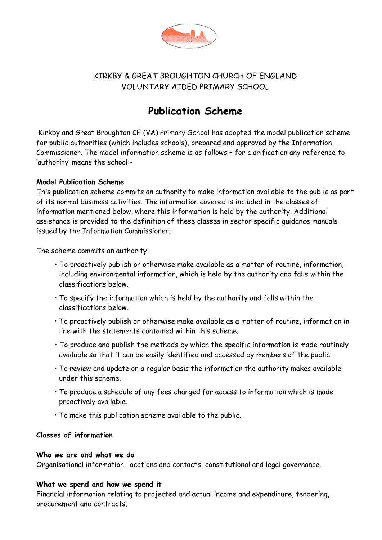

# KIRKBY & GREAT BROUGHTON CHURCH OF ENGLAND VOLUNTARY AIDED PRIMARY SCHOOL

# **Publication Scheme**

Kirkby and Great Broughton CE (VA) Primary School has adopted the model publication scheme for public authorities (which includes schools), prepared and approved by the Information Commissioner. The model information scheme is as follows – for clarification any reference to 'authority' means the school:-

# **Model Publication Scheme**

This publication scheme commits an authority to make information available to the public as part of its normal business activities. The information covered is included in the classes of information mentioned below, where this information is held by the authority. Additional assistance is provided to the definition of these classes in sector specific guidance manuals issued by the Information Commissioner.

The scheme commits an authority:

- To proactively publish or otherwise make available as a matter of routine, information, including environmental information, which is held by the authority and falls within the classifications below.
- To specify the information which is held by the authority and falls within the classifications below.
- To proactively publish or otherwise make available as a matter of routine, information in line with the statements contained within this scheme.
- To produce and publish the methods by which the specific information is made routinely available so that it can be easily identified and accessed by members of the public.
- To review and update on a regular basis the information the authority makes available under this scheme.
- To produce a schedule of any fees charged for access to information which is made proactively available.
- To make this publication scheme available to the public.

# **Classes of information**

#### **Who we are and what we do**

Organisational information, locations and contacts, constitutional and legal governance.

# **What we spend and how we spend it**

Financial information relating to projected and actual income and expenditure, tendering, procurement and contracts.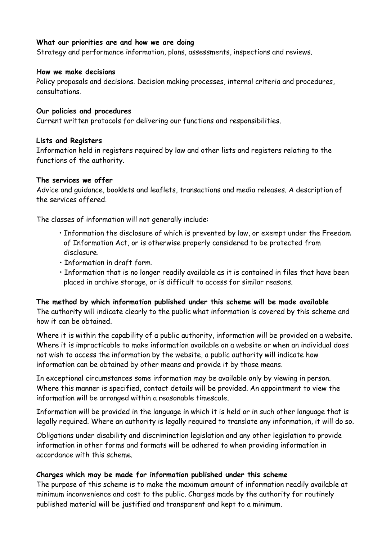# **What our priorities are and how we are doing**

Strategy and performance information, plans, assessments, inspections and reviews.

#### **How we make decisions**

Policy proposals and decisions. Decision making processes, internal criteria and procedures, consultations.

### **Our policies and procedures**

Current written protocols for delivering our functions and responsibilities.

# **Lists and Registers**

Information held in registers required by law and other lists and registers relating to the functions of the authority.

#### **The services we offer**

Advice and guidance, booklets and leaflets, transactions and media releases. A description of the services offered.

The classes of information will not generally include:

- Information the disclosure of which is prevented by law, or exempt under the Freedom of Information Act, or is otherwise properly considered to be protected from disclosure.
- Information in draft form.
- Information that is no longer readily available as it is contained in files that have been placed in archive storage, or is difficult to access for similar reasons.

# **The method by which information published under this scheme will be made available**

The authority will indicate clearly to the public what information is covered by this scheme and how it can be obtained.

Where it is within the capability of a public authority, information will be provided on a website. Where it is impracticable to make information available on a website or when an individual does not wish to access the information by the website, a public authority will indicate how information can be obtained by other means and provide it by those means.

In exceptional circumstances some information may be available only by viewing in person. Where this manner is specified, contact details will be provided. An appointment to view the information will be arranged within a reasonable timescale.

Information will be provided in the language in which it is held or in such other language that is legally required. Where an authority is legally required to translate any information, it will do so.

Obligations under disability and discrimination legislation and any other legislation to provide information in other forms and formats will be adhered to when providing information in accordance with this scheme.

# **Charges which may be made for information published under this scheme**

The purpose of this scheme is to make the maximum amount of information readily available at minimum inconvenience and cost to the public. Charges made by the authority for routinely published material will be justified and transparent and kept to a minimum.